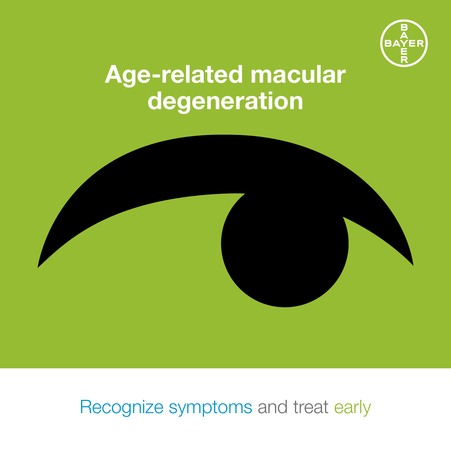

## Age-related macular degeneration



Recognize symptoms and treat early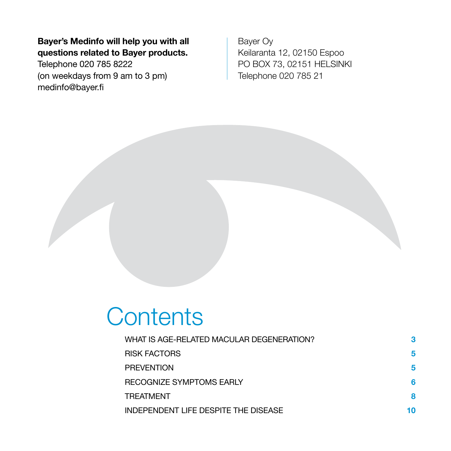Bayer's Medinfo will help you with all questions related to Bayer products.

Telephone 020 785 8222 (on weekdays from 9 am to 3 pm) medinfo@bayer.fi

Bayer Oy Keilaranta 12, 02150 Espoo PO BOX 73, 02151 HELSINKI Telephone 020 785 21

### **Contents**

| WHAT IS AGE-RELATED MACULAR DEGENERATION? | 3  |
|-------------------------------------------|----|
| <b>RISK FACTORS</b>                       | 5  |
| <b>PREVENTION</b>                         | 5  |
| RECOGNIZE SYMPTOMS EARLY                  | 6  |
| <b>TREATMENT</b>                          | 8  |
| INDEPENDENT LIFE DESPITE THE DISEASE      | 10 |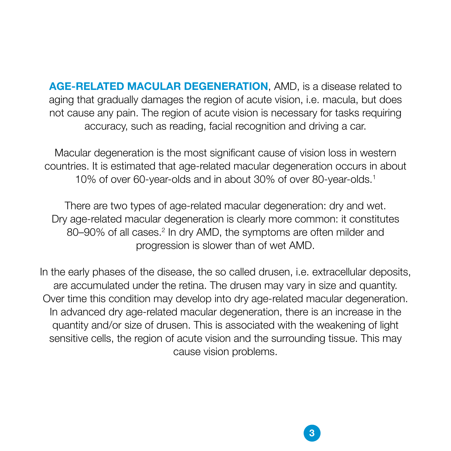AGE-RELATED MACULAR DEGENERATION, AMD, is a disease related to aging that gradually damages the region of acute vision, i.e. macula, but does not cause any pain. The region of acute vision is necessary for tasks requiring accuracy, such as reading, facial recognition and driving a car.

Macular degeneration is the most significant cause of vision loss in western countries. It is estimated that age-related macular degeneration occurs in about 10% of over 60-year-olds and in about 30% of over 80-year-olds.1

There are two types of age-related macular degeneration: dry and wet. Dry age-related macular degeneration is clearly more common: it constitutes 80–90% of all cases.<sup>2</sup> In dry AMD, the symptoms are often milder and progression is slower than of wet AMD.

In the early phases of the disease, the so called drusen, i.e. extracellular deposits, are accumulated under the retina. The drusen may vary in size and quantity. Over time this condition may develop into dry age-related macular degeneration. In advanced dry age-related macular degeneration, there is an increase in the quantity and/or size of drusen. This is associated with the weakening of light sensitive cells, the region of acute vision and the surrounding tissue. This may cause vision problems.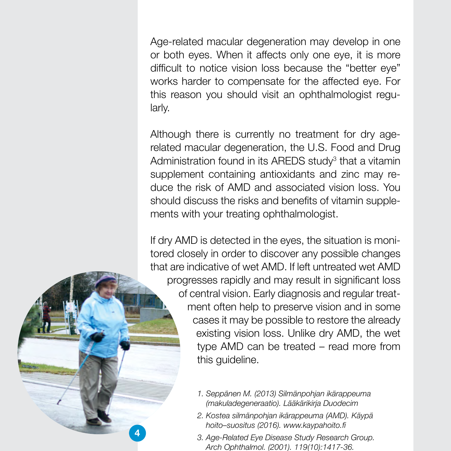Age-related macular degeneration may develop in one or both eyes. When it affects only one eye, it is more difficult to notice vision loss because the "better eye" works harder to compensate for the affected eye. For this reason you should visit an ophthalmologist regularly.

Although there is currently no treatment for dry agerelated macular degeneration, the U.S. Food and Drug Administration found in its AREDS study<sup>3</sup> that a vitamin supplement containing antioxidants and zinc may reduce the risk of AMD and associated vision loss. You should discuss the risks and benefits of vitamin supplements with your treating ophthalmologist.

If dry AMD is detected in the eyes, the situation is monitored closely in order to discover any possible changes that are indicative of wet AMD. If left untreated wet AMD progresses rapidly and may result in significant loss of central vision. Early diagnosis and regular treatment often help to preserve vision and in some cases it may be possible to restore the already existing vision loss. Unlike dry AMD, the wet type AMD can be treated – read more from this guideline.

- *1. Seppänen M. (2013) Silmänpohjan ikärappeuma (makuladegeneraatio). Lääkärikirja Duodecim*
- *2. Kostea silmänpohjan ikärappeuma (AMD). Käypä hoito–suositus (2016). www.kaypahoito.fi*

4

*3. Age-Related Eye Disease Study Research Group. Arch Ophthalmol. (2001). 119(10):1417-36.*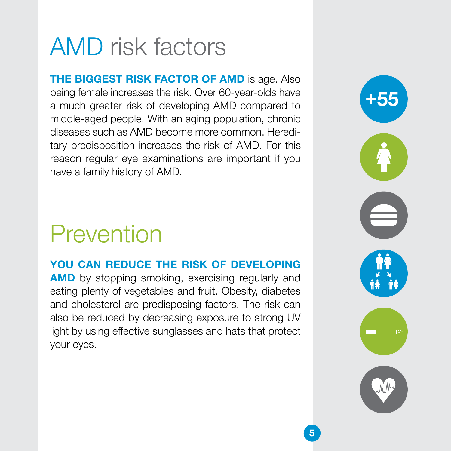# AMD risk factors

THE BIGGEST RISK FACTOR OF AMD is age. Also being female increases the risk. Over 60-year-olds have a much greater risk of developing AMD compared to middle-aged people. With an aging population, chronic diseases such as AMD become more common. Hereditary predisposition increases the risk of AMD. For this reason regular eye examinations are important if you have a family history of AMD.

## Prevention

#### YOU CAN REDUCE THE RISK OF DEVELOPING

**AMD** by stopping smoking, exercising regularly and eating plenty of vegetables and fruit. Obesity, diabetes and cholesterol are predisposing factors. The risk can also be reduced by decreasing exposure to strong UV light by using effective sunglasses and hats that protect your eyes.

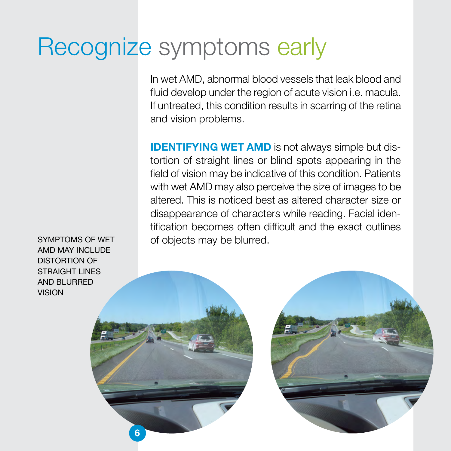## Recognize symptoms early

In wet AMD, abnormal blood vessels that leak blood and fluid develop under the region of acute vision i.e. macula. If untreated, this condition results in scarring of the retina and vision problems.

IDENTIFYING WET AMD is not always simple but distortion of straight lines or blind spots appearing in the field of vision may be indicative of this condition. Patients with wet AMD may also perceive the size of images to be altered. This is noticed best as altered character size or disappearance of characters while reading. Facial identification becomes often difficult and the exact outlines of objects may be blurred.

SYMPTOMS OF WET AMD MAY INCLUDE DISTORTION OF STRAIGHT LINES AND BLURRED VISION

6

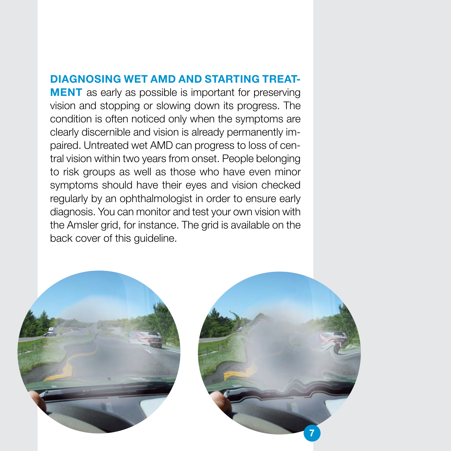#### DIAGNOSING WET AMD AND STARTING TREAT-

**MENT** as early as possible is important for preserving vision and stopping or slowing down its progress. The condition is often noticed only when the symptoms are clearly discernible and vision is already permanently impaired. Untreated wet AMD can progress to loss of central vision within two years from onset. People belonging to risk groups as well as those who have even minor symptoms should have their eyes and vision checked regularly by an ophthalmologist in order to ensure early diagnosis. You can monitor and test your own vision with the Amsler grid, for instance. The grid is available on the back cover of this guideline.

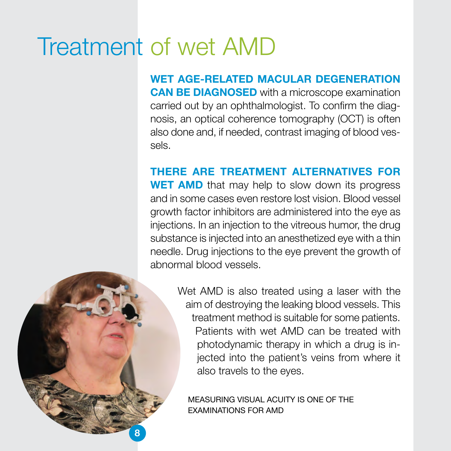## Treatment of wet AMD

WET AGE-RELATED MACULAR DEGENERATION CAN BE DIAGNOSED with a microscope examination carried out by an ophthalmologist. To confirm the diagnosis, an optical coherence tomography (OCT) is often also done and, if needed, contrast imaging of blood vessels.

THERE ARE TREATMENT ALTERNATIVES FOR **WET AMD** that may help to slow down its progress and in some cases even restore lost vision. Blood vessel growth factor inhibitors are administered into the eye as injections. In an injection to the vitreous humor, the drug substance is injected into an anesthetized eye with a thin needle. Drug injections to the eye prevent the growth of abnormal blood vessels.

> Wet AMD is also treated using a laser with the aim of destroying the leaking blood vessels. This treatment method is suitable for some patients. Patients with wet AMD can be treated with photodynamic therapy in which a drug is injected into the patient's veins from where it also travels to the eyes.

MEASURING VISUAL ACUITY IS ONE OF THE EXAMINATIONS FOR AMD

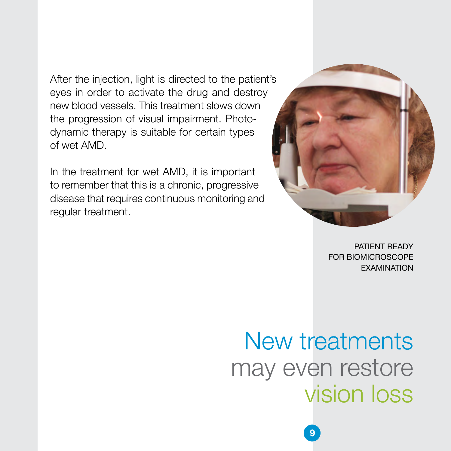After the injection, light is directed to the patient's eyes in order to activate the drug and destroy new blood vessels. This treatment slows down the progression of visual impairment. Photodynamic therapy is suitable for certain types of wet AMD.

In the treatment for wet AMD, it is important to remember that this is a chronic, progressive disease that requires continuous monitoring and regular treatment.



PATIENT READY FOR BIOMICROSCOPE EXAMINATION

# New treatments may even restore vision loss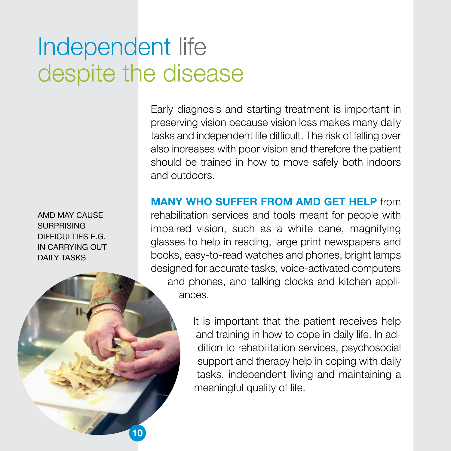# Independent life despite the disease

tasks and independent life difficult. The risk of falling over also increases with poor vision and therefore the patient should be trained in how to move safely both indoors and outdoors.

Early diagnosis and starting treatment is important in preserving vision because vision loss makes many daily

MANY WHO SUFFER FROM AMD GET HELP from rehabilitation services and tools meant for people with impaired vision, such as a white cane, magnifying glasses to help in reading, large print newspapers and books, easy-to-read watches and phones, bright lamps designed for accurate tasks, voice-activated computers and phones, and talking clocks and kitchen appliances.

> It is important that the patient receives help and training in how to cope in daily life. In addition to rehabilitation services, psychosocial support and therapy help in coping with daily tasks, independent living and maintaining a meaningful quality of life.

AMD MAY CAUSE SURPRISING DIFFICULTIES E.G. IN CARRYING OUT DAILY TASKS

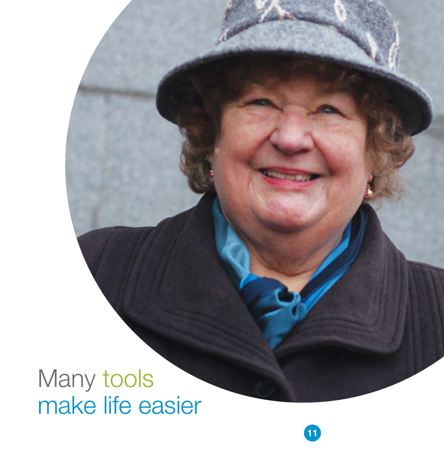Many tools make life easier

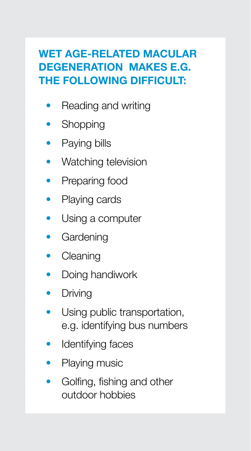### WET AGE-RELATED MACULAR DEGENERATION MAKES E.G. THE FOLLOWING DIFFICULT:

- Reading and writing
- Shopping
- Paying bills
- Watching television
- Preparing food
- Playing cards
- Using a computer
- Gardening
- Cleaning
- Doing handiwork
- Driving
- Using public transportation, e.g. identifying bus numbers
- Identifying faces
- Playing music
- Golfing, fishing and other outdoor hobbies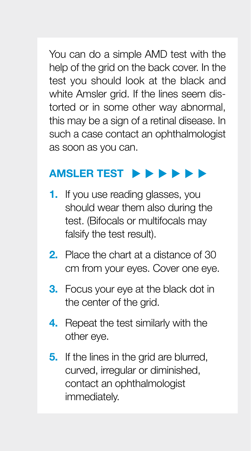You can do a simple AMD test with the help of the grid on the back cover. In the test you should look at the black and white Amsler grid. If the lines seem distorted or in some other way abnormal, this may be a sign of a retinal disease. In such a case contact an ophthalmologist as soon as you can.

### AMSLER TEST  $\rightarrow \rightarrow \rightarrow \rightarrow \rightarrow$

- 1. If you use reading glasses, you should wear them also during the test. (Bifocals or multifocals may falsify the test result).
- 2. Place the chart at a distance of 30 cm from your eyes. Cover one eye.
- **3.** Focus your eye at the black dot in the center of the grid.
- 4. Repeat the test similarly with the other eye.
- **5.** If the lines in the grid are blurred, curved, irregular or diminished, contact an ophthalmologist immediately.